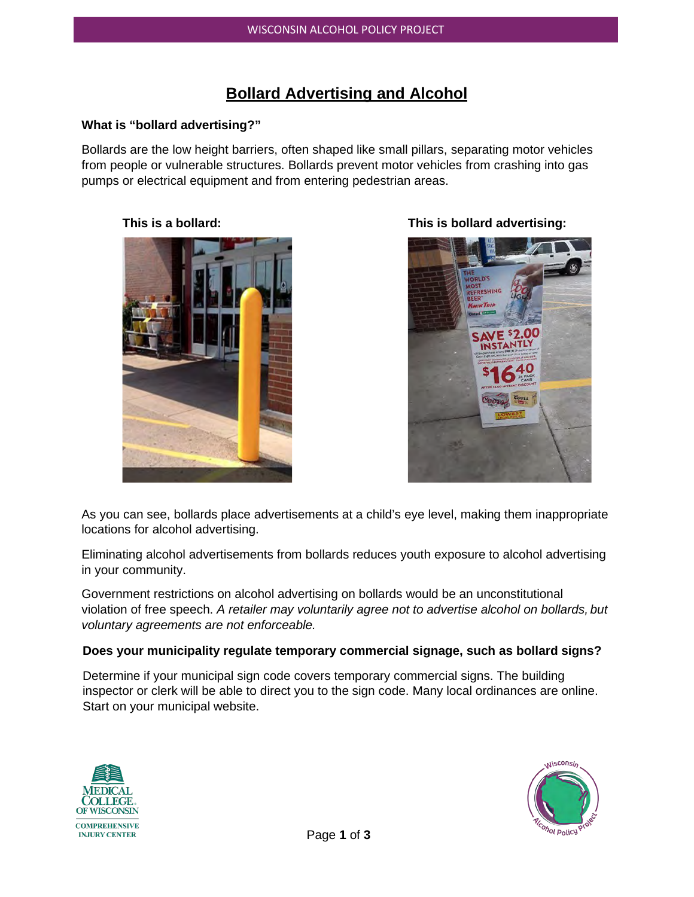# **Bollard Advertising and Alcohol**

#### **What is "bollard advertising?"**

Bollards are the low height barriers, often shaped like small pillars, separating motor vehicles from people or vulnerable structures. Bollards prevent motor vehicles from crashing into gas pumps or electrical equipment and from entering pedestrian areas.



**This is a bollard: This is bollard advertising:**



As you can see, bollards place advertisements at a child's eye level, making them inappropriate locations for alcohol advertising.

Eliminating alcohol advertisements from bollards reduces youth exposure to alcohol advertising in your community.

Government restrictions on alcohol advertising on bollards would be an unconstitutional violation of free speech. *A retailer may voluntarily agree not to advertise alcohol on bollards, but voluntary agreements are not enforceable.*

#### **Does your municipality regulate temporary commercial signage, such as bollard signs?**

Determine if your municipal sign code covers temporary commercial signs. The building inspector or clerk will be able to direct you to the sign code. Many local ordinances are online. Start on your municipal website.



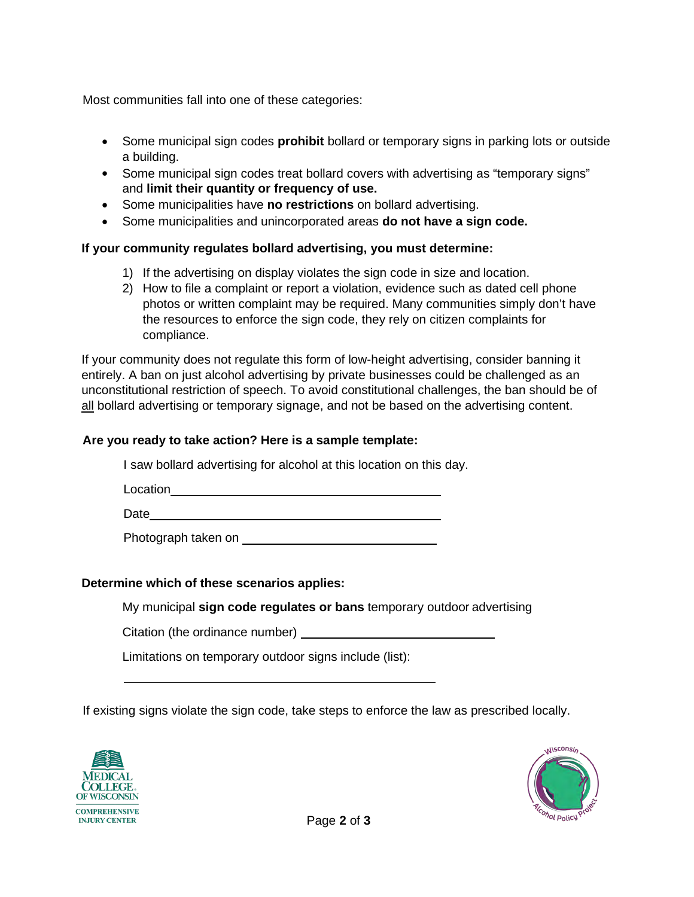Most communities fall into one of these categories:

- Some municipal sign codes **prohibit** bollard or temporary signs in parking lots or outside a building.
- Some municipal sign codes treat bollard covers with advertising as "temporary signs" and **limit their quantity or frequency of use.**
- Some municipalities have **no restrictions** on bollard advertising. •
- Some municipalities and unincorporated areas **do not have a sign code.** •

# **If your community regulates bollard advertising, you must determine:**

- 1) If the advertising on display violates the sign code in size and location.
- 2) How to file a complaint or report a violation, evidence such as dated cell phone photos or written complaint may be required. Many communities simply don't have the resources to enforce the sign code, they rely on citizen complaints for compliance.

If your community does not regulate this form of low-height advertising, consider banning it entirely. A ban on just alcohol advertising by private businesses could be challenged as an unconstitutional restriction of speech. To avoid constitutional challenges, the ban should be of all bollard advertising or temporary signage, and not be based on the advertising content.

## **Are you ready to take action? Here is a sample template:**

I saw bollard advertising for alcohol at this location on this day.

Location **Location** 

**Date** 

Photograph taken on

## **Determine which of these scenarios applies:**

My municipal **sign code regulates or bans** temporary outdoor advertising

Citation (the ordinance number)

Limitations on temporary outdoor signs include (list):

If existing signs violate the sign code, take steps to enforce the law as prescribed locally.